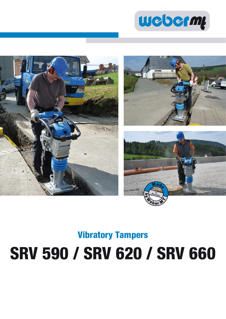



# **Vibratory Tampers SRV 590 / SRV 620 / SRV 660**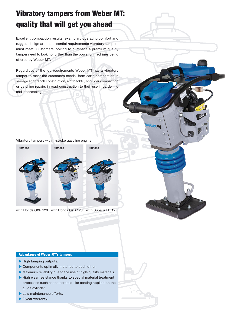## **Vibratory tampers from Weber MT: quality that will get you ahead**

Excellent compaction results, exemplary operating comfort and rugged design are the essential requirements vibratory tampers must meet. Customers looking to purchase a premium quality tamper need to look no further than the powerful machines being offered by Weber MT.

Regardless of the job requirements Weber MT has a vibratory tamper to meet the customers needs, from earth compaction in sewage and trench construction, a of backfill, shoulder compaction or patching repairs in road construction to their use in gardening and landscaping.

#### Vibratory tampers with 4-stroke gasoline engine





**beim** 

with Honda GXR 120 with Honda GXR 120 with Subaru EH 12

#### **Advantages of Weber MT's tampers**

- $\blacktriangleright$  High tamping outputs.
- Components optimally matched to each other.
- Maximum reliability due to the use of high-quality materials.
- High wear resistance thanks to special material treatment processes such as the ceramic-like coating applied on the guide cylinder.
- Low maintenance efforts.
- ▶ 2 year warranty.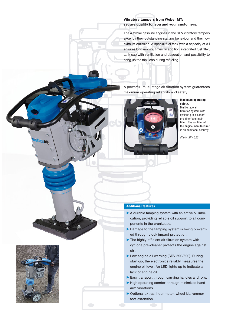#### **Vibratory tampers from Weber MT: secure quality for you and your customers.**

The 4 stroke gasoline engines in the SRV vibratory tampers excel by their outstanding starting behaviour and their low exhaust emission. A special fuel tank with a capacity of 3 l ensures long running times. In addition: integrated fuel filter, tank cap with ventilation and deaeration and possibility to hang up the tank cap during refueling.

A powerful, multi-stage air filtration system guarantees maximum operating reliability and safety.



#### **Maximum operating safety.** Multi-stage air filtration system with cyclone pre-cleaner**<sup>1</sup>** , pre-filter**<sup>2</sup>** and main filter**<sup>3</sup>** . The air filter of the engine manufacturer is an additional security.

Photo: SRV 620

#### **Additional features**

- A durable tamping system with an active oil lubrication, providing reliable oil support to all components in the crankcase.
- Damage to the tamping system is being prevented through block impact protection.
- The highly efficient air filtration system with cyclone pre-cleaner protects the engine against dirt.
- Low engine oil warning (SRV 590/620). During start-up, the electronics reliably measures the engine oil level. An LED lights up to indicate a lack of engine oil.
- Easy transport through carrying handles and rolls.
- High operating comfort through minimized handarm vibrations.
- Optional extras: hour meter, wheel kit, rammer foot extension.



 $\overline{6}$ **SM**